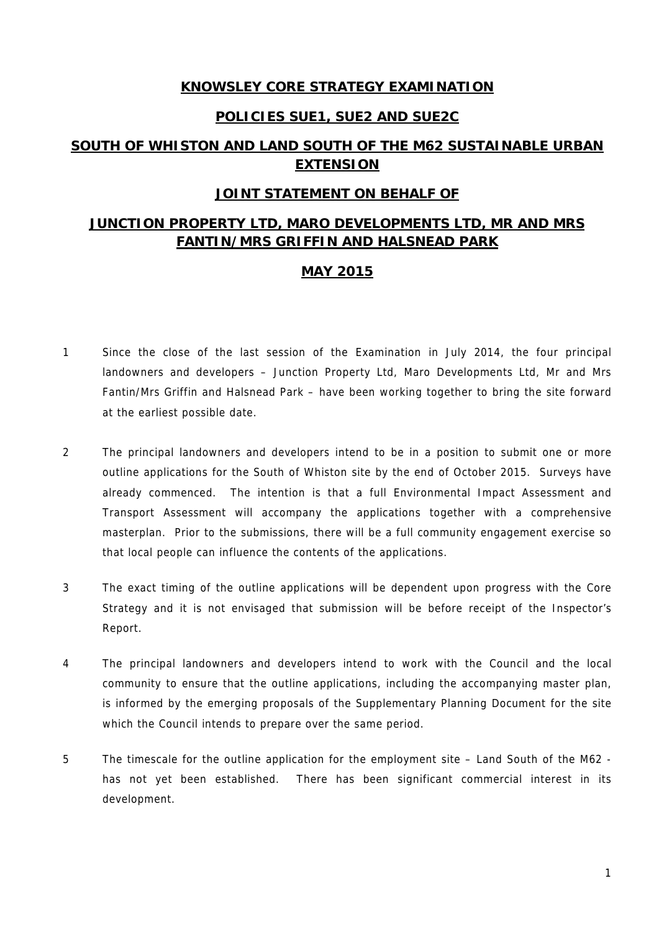### **KNOWSLEY CORE STRATEGY EXAMINATION**

#### **POLICIES SUE1, SUE2 AND SUE2C**

# **SOUTH OF WHISTON AND LAND SOUTH OF THE M62 SUSTAINABLE URBAN EXTENSION**

#### **JOINT STATEMENT ON BEHALF OF**

# **JUNCTION PROPERTY LTD, MARO DEVELOPMENTS LTD, MR AND MRS FANTIN/MRS GRIFFIN AND HALSNEAD PARK**

### **MAY 2015**

- 1 Since the close of the last session of the Examination in July 2014, the four principal landowners and developers – Junction Property Ltd, Maro Developments Ltd, Mr and Mrs Fantin/Mrs Griffin and Halsnead Park – have been working together to bring the site forward at the earliest possible date.
- 2 The principal landowners and developers intend to be in a position to submit one or more outline applications for the South of Whiston site by the end of October 2015. Surveys have already commenced. The intention is that a full Environmental Impact Assessment and Transport Assessment will accompany the applications together with a comprehensive masterplan. Prior to the submissions, there will be a full community engagement exercise so that local people can influence the contents of the applications.
- 3 The exact timing of the outline applications will be dependent upon progress with the Core Strategy and it is not envisaged that submission will be before receipt of the Inspector's Report.
- 4 The principal landowners and developers intend to work with the Council and the local community to ensure that the outline applications, including the accompanying master plan, is informed by the emerging proposals of the Supplementary Planning Document for the site which the Council intends to prepare over the same period.
- 5 The timescale for the outline application for the employment site Land South of the M62 has not yet been established. There has been significant commercial interest in its development.